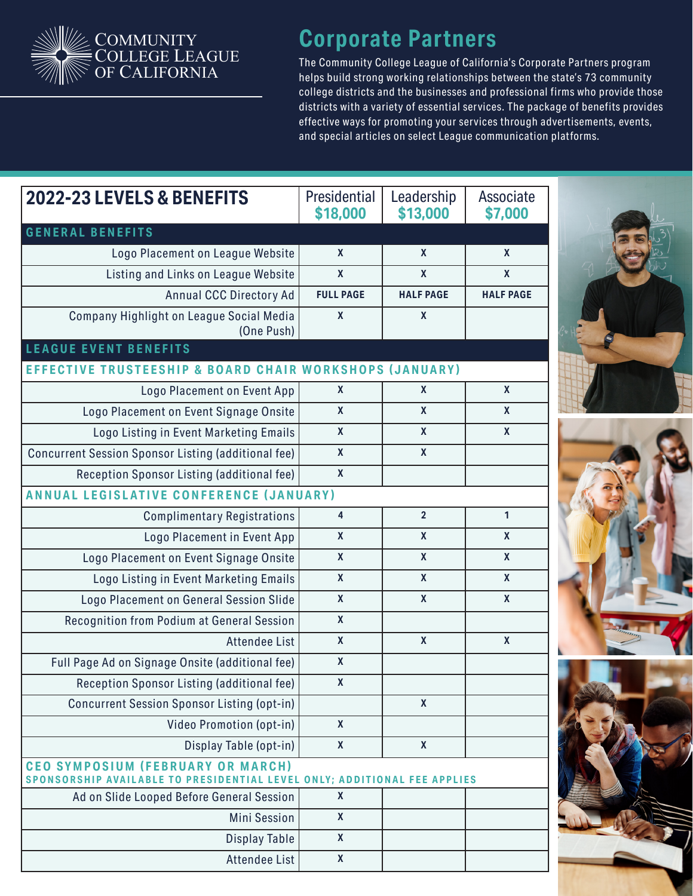

## **Corporate Partners**

The Community College League of California's Corporate Partners program helps build strong working relationships between the state's 73 community college districts and the businesses and professional firms who provide those districts with a variety of essential ser vices. The package of benefits provides effective ways for promoting your services through advertisements, events, and special articles on select League communication platforms.

| 2022-23 LEVELS & BENEFITS                                                                                            | Presidential<br>\$18,000  | Leadership<br>\$13,000 | Associate<br>\$7,000 |
|----------------------------------------------------------------------------------------------------------------------|---------------------------|------------------------|----------------------|
| <b>GENERAL BENEFITS</b>                                                                                              |                           |                        |                      |
| Logo Placement on League Website                                                                                     | $\boldsymbol{\mathsf{X}}$ | $\mathbf{x}$           | $\mathbf{x}$         |
| Listing and Links on League Website                                                                                  | $\mathbf{x}$              | $\mathbf x$            | $\mathbf{x}$         |
| <b>Annual CCC Directory Ad</b>                                                                                       | <b>FULL PAGE</b>          | <b>HALF PAGE</b>       | <b>HALF PAGE</b>     |
| Company Highlight on League Social Media<br>(One Push)                                                               | $\mathbf{x}$              | $\mathbf{x}$           |                      |
| <b>LEAGUE EVENT BENEFITS</b>                                                                                         |                           |                        |                      |
| EFFECTIVE TRUSTEESHIP & BOARD CHAIR WORKSHOPS (JANUARY)                                                              |                           |                        |                      |
| Logo Placement on Event App                                                                                          | $\mathbf{x}$              | $\mathbf{x}$           | $\mathbf{x}$         |
| Logo Placement on Event Signage Onsite                                                                               | $\mathbf{x}$              | $\mathbf{x}$           | $\mathbf{x}$         |
| Logo Listing in Event Marketing Emails                                                                               | $\mathbf{x}$              | $\mathbf{x}$           | $\mathbf{x}$         |
| Concurrent Session Sponsor Listing (additional fee)                                                                  | $\mathbf{x}$              | $\mathbf{x}$           |                      |
| Reception Sponsor Listing (additional fee)                                                                           | $\mathbf{x}$              |                        |                      |
| <b>ANNUAL LEGISLATIVE CONFERENCE (JANUARY)</b>                                                                       |                           |                        |                      |
| <b>Complimentary Registrations</b>                                                                                   | 4                         | $\overline{2}$         | 1                    |
| Logo Placement in Event App                                                                                          | $\mathbf{x}$              | $\mathbf{x}$           | $\mathbf{x}$         |
| Logo Placement on Event Signage Onsite                                                                               | $\mathbf{x}$              | $\mathbf{x}$           | $\mathbf x$          |
| Logo Listing in Event Marketing Emails                                                                               | $\mathbf{x}$              | $\mathbf{x}$           | $\mathbf{x}$         |
| Logo Placement on General Session Slide                                                                              | $\mathbf{x}$              | $\mathbf{x}$           | $\mathbf x$          |
| Recognition from Podium at General Session                                                                           | $\mathbf x$               |                        |                      |
| <b>Attendee List</b>                                                                                                 | $\mathbf{x}$              | $\mathbf x$            | $\mathbf x$          |
| Full Page Ad on Signage Onsite (additional fee)                                                                      | $\mathbf{x}$              |                        |                      |
| Reception Sponsor Listing (additional fee)                                                                           | X                         |                        |                      |
| <b>Concurrent Session Sponsor Listing (opt-in)</b>                                                                   |                           | $\mathbf{x}$           |                      |
| Video Promotion (opt-in)                                                                                             | $\mathbf{x}$              |                        |                      |
| Display Table (opt-in)                                                                                               | $\mathbf{x}$              | $\mathbf{x}$           |                      |
| <b>CEO SYMPOSIUM (FEBRUARY OR MARCH)</b><br>SPONSORSHIP AVAILABLE TO PRESIDENTIAL LEVEL ONLY; ADDITIONAL FEE APPLIES |                           |                        |                      |
| Ad on Slide Looped Before General Session                                                                            | $\boldsymbol{X}$          |                        |                      |
| Mini Session                                                                                                         | $\boldsymbol{\mathsf{X}}$ |                        |                      |
| <b>Display Table</b>                                                                                                 | $\mathbf{x}$              |                        |                      |
| Attendee List                                                                                                        | $\pmb{\mathsf{X}}$        |                        |                      |